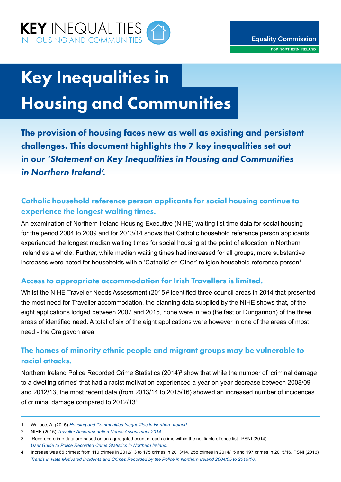

# Key Inequalities in

# Housing and Communities

The provision of housing faces new as well as existing and persistent challenges. This document highlights the 7 key inequalities set out in our *'Statement on Key Inequalities in Housing and Communities in Northern Ireland'.* 

# Catholic household reference person applicants for social housing continue to experience the longest waiting times.

An examination of Northern Ireland Housing Executive (NIHE) waiting list time data for social housing for the period 2004 to 2009 and for 2013/14 shows that Catholic household reference person applicants experienced the longest median waiting times for social housing at the point of allocation in Northern Ireland as a whole. Further, while median waiting times had increased for all groups, more substantive increases were noted for households with a 'Catholic' or 'Other' religion household reference person $^{\text{\tiny{1}}}$ .

#### Access to appropriate accommodation for Irish Travellers is limited.

Whilst the NIHE Traveller Needs Assessment (2015)<sup>2</sup> identified three council areas in 2014 that presented the most need for Traveller accommodation, the planning data supplied by the NIHE shows that, of the eight applications lodged between 2007 and 2015, none were in two (Belfast or Dungannon) of the three areas of identified need. A total of six of the eight applications were however in one of the areas of most need - the Craigavon area.

## The homes of minority ethnic people and migrant groups may be vulnerable to racial attacks.

Northern Ireland Police Recorded Crime Statistics (2014)<sup>3</sup> show that while the number of 'criminal damage to a dwelling crimes' that had a racist motivation experienced a year on year decrease between 2008/09 and 2012/13, the most recent data (from 2013/14 to 2015/16) showed an increased number of incidences of criminal damage compared to 2012/13<sup>4</sup>.

1 Wallace, A. (2015) *Housing and Communities Inequalities in Northern Ireland.*

<sup>2</sup> NIHE (2015) *Traveller Accommodation Needs Assessment 2014.*

<sup>3</sup> 'Recorded crime data are based on an aggregated count of each crime within the notifiable offence list'. PSNI (2014) *User Guide to Police Recorded Crime Statistics in Northern Ireland.* 

<sup>4</sup> Increase was 65 crimes; from 110 crimes in 2012/13 to 175 crimes in 2013/14, 258 crimes in 2014/15 and 197 crimes in 2015/16. PSNI (2016) *Trends in Hate Motivated Incidents and Crimes Recorded by the Police in Northern Ireland 2004/05 to 2015/16.*